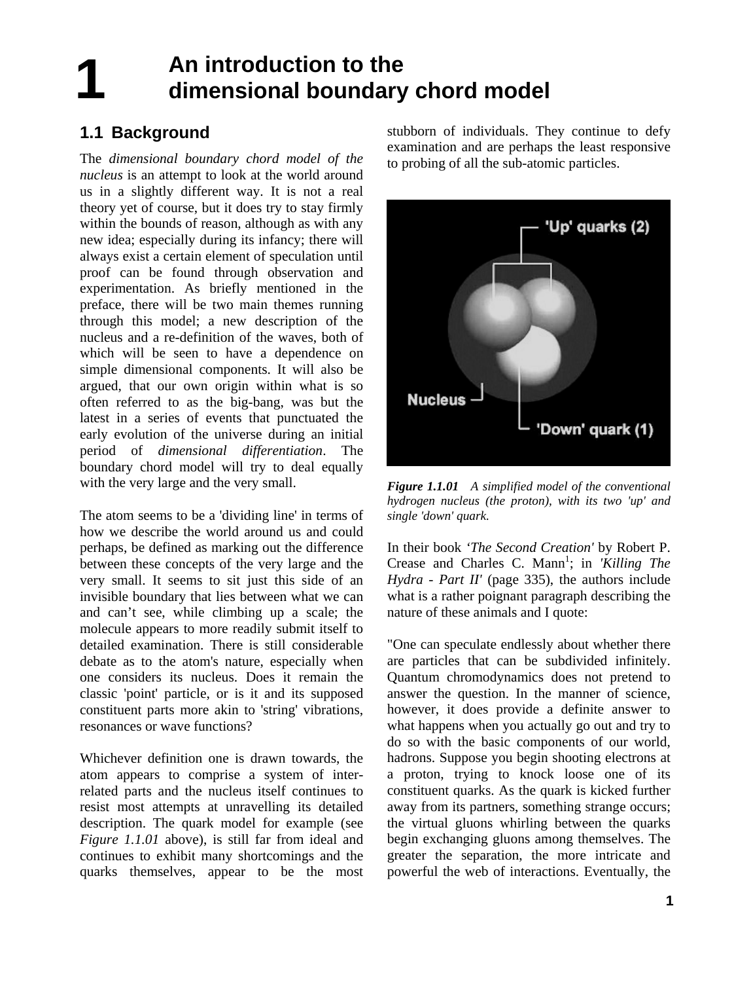## **1 An introduction to the dimensional boundary chord model**

## **1.1 Background**

The *dimensional boundary chord model of the nucleus* is an attempt to look at the world around us in a slightly different way. It is not a real theory yet of course, but it does try to stay firmly within the bounds of reason, although as with any new idea; especially during its infancy; there will always exist a certain element of speculation until proof can be found through observation and experimentation. As briefly mentioned in the preface, there will be two main themes running through this model; a new description of the nucleus and a re-definition of the waves, both of which will be seen to have a dependence on simple dimensional components. It will also be argued, that our own origin within what is so often referred to as the big-bang, was but the latest in a series of events that punctuated the early evolution of the universe during an initial period of *dimensional differentiation*. The boundary chord model will try to deal equally with the very large and the very small.

The atom seems to be a 'dividing line' in terms of how we describe the world around us and could perhaps, be defined as marking out the difference between these concepts of the very large and the very small. It seems to sit just this side of an invisible boundary that lies between what we can and can't see, while climbing up a scale; the molecule appears to more readily submit itself to detailed examination. There is still considerable debate as to the atom's nature, especially when one considers its nucleus. Does it remain the classic 'point' particle, or is it and its supposed constituent parts more akin to 'string' vibrations, resonances or wave functions?

Whichever definition one is drawn towards, the atom appears to comprise a system of interrelated parts and the nucleus itself continues to resist most attempts at unravelling its detailed description. The quark model for example (see *Figure 1.1.01* above), is still far from ideal and continues to exhibit many shortcomings and the quarks themselves, appear to be the most

stubborn of individuals. They continue to defy examination and are perhaps the least responsive to probing of all the sub-atomic particles.



*Figure 1.1.01 A simplified model of the conventional hydrogen nucleus (the proton), with its two 'up' and single 'down' quark.*

In their book *'The Second Creation'* by Robert P. Crease and Charles C. Mann<sup>1</sup>; in *Killing The Hydra - Part II'* (page 335), the authors include what is a rather poignant paragraph describing the nature of these animals and I quote:

"One can speculate endlessly about whether there are particles that can be subdivided infinitely. Quantum chromodynamics does not pretend to answer the question. In the manner of science, however, it does provide a definite answer to what happens when you actually go out and try to do so with the basic components of our world, hadrons. Suppose you begin shooting electrons at a proton, trying to knock loose one of its constituent quarks. As the quark is kicked further away from its partners, something strange occurs; the virtual gluons whirling between the quarks begin exchanging gluons among themselves. The greater the separation, the more intricate and powerful the web of interactions. Eventually, the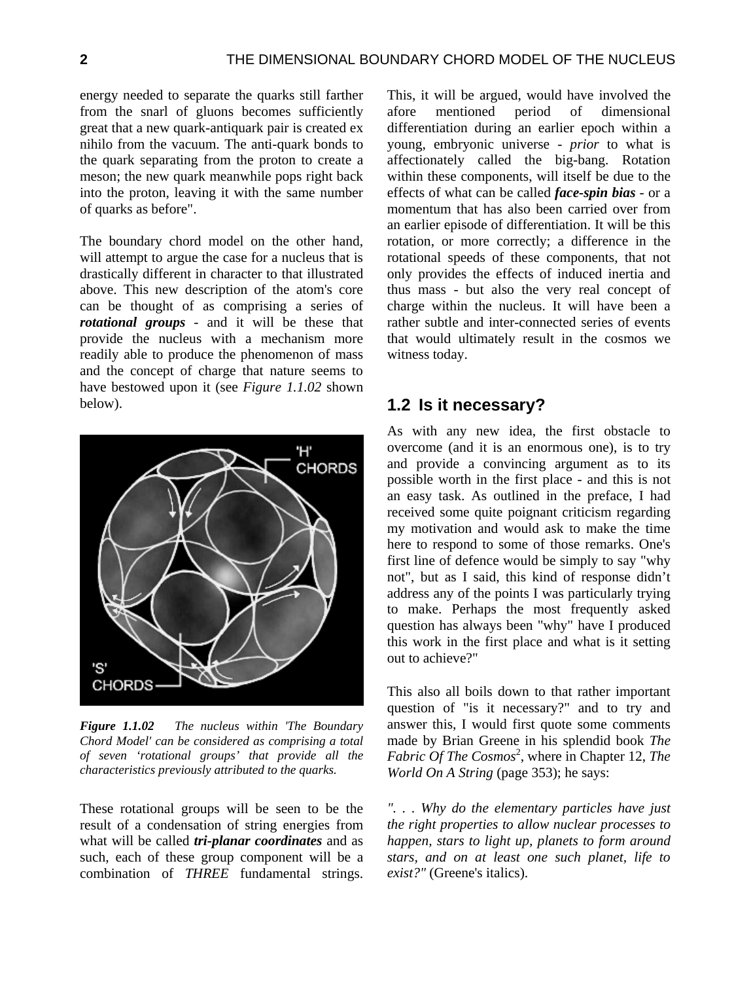energy needed to separate the quarks still farther from the snarl of gluons becomes sufficiently great that a new quark-antiquark pair is created ex nihilo from the vacuum. The anti-quark bonds to the quark separating from the proton to create a meson; the new quark meanwhile pops right back into the proton, leaving it with the same number of quarks as before".

The boundary chord model on the other hand, will attempt to argue the case for a nucleus that is drastically different in character to that illustrated above. This new description of the atom's core can be thought of as comprising a series of *rotational groups* - and it will be these that provide the nucleus with a mechanism more readily able to produce the phenomenon of mass and the concept of charge that nature seems to have bestowed upon it (see *Figure 1.1.02* shown below).



*Figure 1.1.02 The nucleus within 'The Boundary Chord Model' can be considered as comprising a total of seven 'rotational groups' that provide all the characteristics previously attributed to the quarks.*

These rotational groups will be seen to be the result of a condensation of string energies from what will be called *tri-planar coordinates* and as such, each of these group component will be a combination of *THREE* fundamental strings.

This, it will be argued, would have involved the afore mentioned period of dimensional differentiation during an earlier epoch within a young, embryonic universe - *prior* to what is affectionately called the big-bang. Rotation within these components, will itself be due to the effects of what can be called *face-spin bias* - or a momentum that has also been carried over from an earlier episode of differentiation. It will be this rotation, or more correctly; a difference in the rotational speeds of these components, that not only provides the effects of induced inertia and thus mass - but also the very real concept of charge within the nucleus. It will have been a rather subtle and inter-connected series of events that would ultimately result in the cosmos we witness today.

## **1.2 Is it necessary?**

As with any new idea, the first obstacle to overcome (and it is an enormous one), is to try and provide a convincing argument as to its possible worth in the first place - and this is not an easy task. As outlined in the preface, I had received some quite poignant criticism regarding my motivation and would ask to make the time here to respond to some of those remarks. One's first line of defence would be simply to say "why not", but as I said, this kind of response didn't address any of the points I was particularly trying to make. Perhaps the most frequently asked question has always been "why" have I produced this work in the first place and what is it setting out to achieve?"

This also all boils down to that rather important question of "is it necessary?" and to try and answer this, I would first quote some comments made by Brian Greene in his splendid book *The*  Fabric Of The Cosmos<sup>2</sup>, where in Chapter 12, The *World On A String* (page 353); he says:

*". . . Why do the elementary particles have just the right properties to allow nuclear processes to happen, stars to light up, planets to form around stars, and on at least one such planet, life to exist?"* (Greene's italics).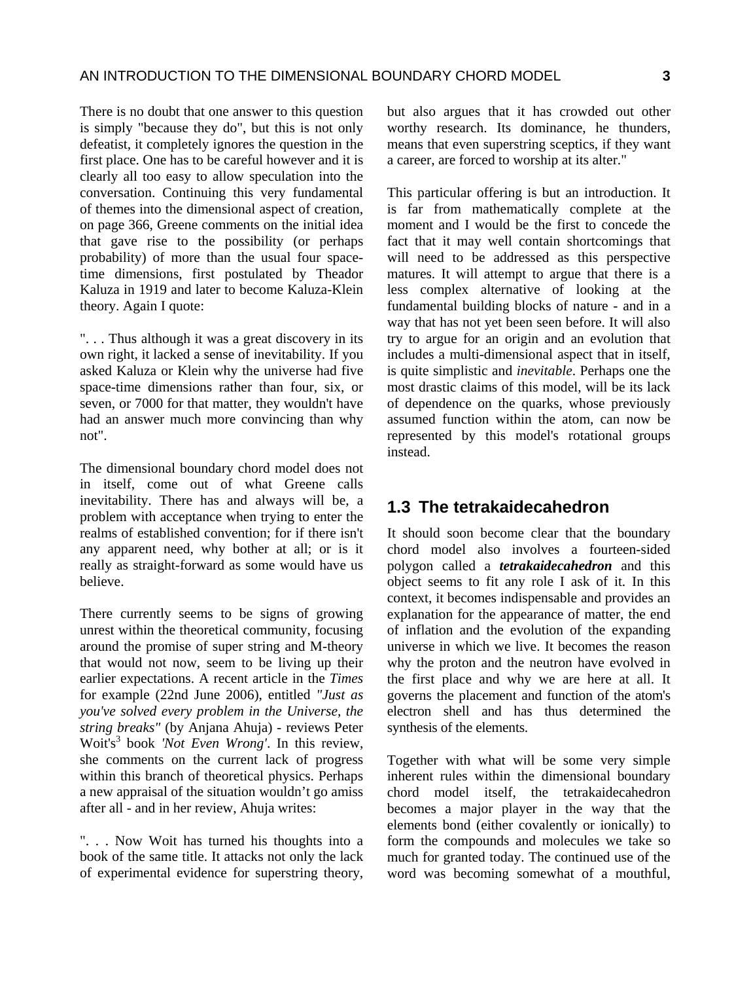There is no doubt that one answer to this question is simply "because they do", but this is not only defeatist, it completely ignores the question in the first place. One has to be careful however and it is clearly all too easy to allow speculation into the conversation. Continuing this very fundamental of themes into the dimensional aspect of creation, on page 366, Greene comments on the initial idea that gave rise to the possibility (or perhaps probability) of more than the usual four spacetime dimensions, first postulated by Theador Kaluza in 1919 and later to become Kaluza-Klein theory. Again I quote:

". . . Thus although it was a great discovery in its own right, it lacked a sense of inevitability. If you asked Kaluza or Klein why the universe had five space-time dimensions rather than four, six, or seven, or 7000 for that matter, they wouldn't have had an answer much more convincing than why not".

The dimensional boundary chord model does not in itself, come out of what Greene calls inevitability. There has and always will be, a problem with acceptance when trying to enter the realms of established convention; for if there isn't any apparent need, why bother at all; or is it really as straight-forward as some would have us believe.

There currently seems to be signs of growing unrest within the theoretical community, focusing around the promise of super string and M-theory that would not now, seem to be living up their earlier expectations. A recent article in the *Times* for example (22nd June 2006), entitled *"Just as you've solved every problem in the Universe, the string breaks"* (by Anjana Ahuja) - reviews Peter Woit's3 book *'Not Even Wrong'*. In this review, she comments on the current lack of progress within this branch of theoretical physics. Perhaps a new appraisal of the situation wouldn't go amiss after all - and in her review, Ahuja writes:

". . . Now Woit has turned his thoughts into a book of the same title. It attacks not only the lack of experimental evidence for superstring theory, but also argues that it has crowded out other worthy research. Its dominance, he thunders, means that even superstring sceptics, if they want a career, are forced to worship at its alter."

This particular offering is but an introduction. It is far from mathematically complete at the moment and I would be the first to concede the fact that it may well contain shortcomings that will need to be addressed as this perspective matures. It will attempt to argue that there is a less complex alternative of looking at the fundamental building blocks of nature - and in a way that has not yet been seen before. It will also try to argue for an origin and an evolution that includes a multi-dimensional aspect that in itself, is quite simplistic and *inevitable*. Perhaps one the most drastic claims of this model, will be its lack of dependence on the quarks, whose previously assumed function within the atom, can now be represented by this model's rotational groups instead.

## **1.3 The tetrakaidecahedron**

It should soon become clear that the boundary chord model also involves a fourteen-sided polygon called a *tetrakaidecahedron* and this object seems to fit any role I ask of it. In this context, it becomes indispensable and provides an explanation for the appearance of matter, the end of inflation and the evolution of the expanding universe in which we live. It becomes the reason why the proton and the neutron have evolved in the first place and why we are here at all. It governs the placement and function of the atom's electron shell and has thus determined the synthesis of the elements.

Together with what will be some very simple inherent rules within the dimensional boundary chord model itself, the tetrakaidecahedron becomes a major player in the way that the elements bond (either covalently or ionically) to form the compounds and molecules we take so much for granted today. The continued use of the word was becoming somewhat of a mouthful,